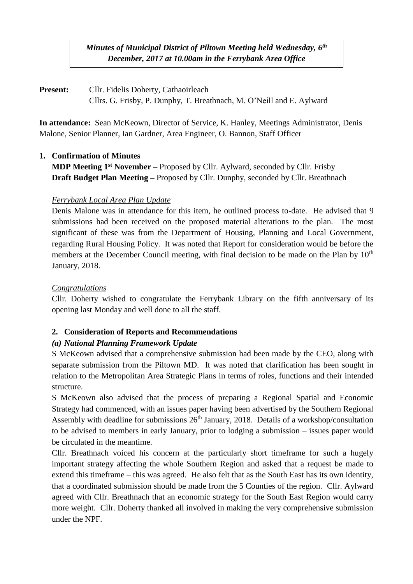*Minutes of Municipal District of Piltown Meeting held Wednesday, 6 th December, 2017 at 10.00am in the Ferrybank Area Office*

**Present:** Cllr. Fidelis Doherty, Cathaoirleach Cllrs. G. Frisby, P. Dunphy, T. Breathnach, M. O'Neill and E. Aylward

**In attendance:** Sean McKeown, Director of Service, K. Hanley, Meetings Administrator, Denis Malone, Senior Planner, Ian Gardner, Area Engineer, O. Bannon, Staff Officer

### **1. Confirmation of Minutes**

**MDP Meeting 1 st November –** Proposed by Cllr. Aylward, seconded by Cllr. Frisby **Draft Budget Plan Meeting –** Proposed by Cllr. Dunphy, seconded by Cllr. Breathnach

### *Ferrybank Local Area Plan Update*

Denis Malone was in attendance for this item, he outlined process to-date. He advised that 9 submissions had been received on the proposed material alterations to the plan. The most significant of these was from the Department of Housing, Planning and Local Government, regarding Rural Housing Policy. It was noted that Report for consideration would be before the members at the December Council meeting, with final decision to be made on the Plan by 10<sup>th</sup> January, 2018.

## *Congratulations*

Cllr. Doherty wished to congratulate the Ferrybank Library on the fifth anniversary of its opening last Monday and well done to all the staff.

### **2. Consideration of Reports and Recommendations**

# *(a) National Planning Framework Update*

S McKeown advised that a comprehensive submission had been made by the CEO, along with separate submission from the Piltown MD. It was noted that clarification has been sought in relation to the Metropolitan Area Strategic Plans in terms of roles, functions and their intended structure.

S McKeown also advised that the process of preparing a Regional Spatial and Economic Strategy had commenced, with an issues paper having been advertised by the Southern Regional Assembly with deadline for submissions  $26<sup>th</sup>$  January, 2018. Details of a workshop/consultation to be advised to members in early January, prior to lodging a submission – issues paper would be circulated in the meantime.

Cllr. Breathnach voiced his concern at the particularly short timeframe for such a hugely important strategy affecting the whole Southern Region and asked that a request be made to extend this timeframe – this was agreed. He also felt that as the South East has its own identity, that a coordinated submission should be made from the 5 Counties of the region. Cllr. Aylward agreed with Cllr. Breathnach that an economic strategy for the South East Region would carry more weight. Cllr. Doherty thanked all involved in making the very comprehensive submission under the NPF.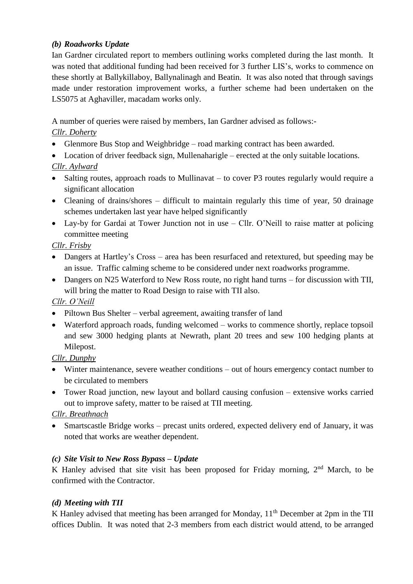#### *(b) Roadworks Update*

Ian Gardner circulated report to members outlining works completed during the last month. It was noted that additional funding had been received for 3 further LIS's, works to commence on these shortly at Ballykillaboy, Ballynalinagh and Beatin. It was also noted that through savings made under restoration improvement works, a further scheme had been undertaken on the LS5075 at Aghaviller, macadam works only.

A number of queries were raised by members, Ian Gardner advised as follows:-

## *Cllr. Doherty*

- Glenmore Bus Stop and Weighbridge road marking contract has been awarded.
- Location of driver feedback sign, Mullenaharigle erected at the only suitable locations.

# *Cllr. Aylward*

- Salting routes, approach roads to Mullinavat to cover P3 routes regularly would require a significant allocation
- Cleaning of drains/shores difficult to maintain regularly this time of year, 50 drainage schemes undertaken last year have helped significantly
- Lay-by for Gardai at Tower Junction not in use Cllr. O'Neill to raise matter at policing committee meeting

## *Cllr. Frisby*

- Dangers at Hartley's Cross area has been resurfaced and retextured, but speeding may be an issue. Traffic calming scheme to be considered under next roadworks programme.
- Dangers on N25 Waterford to New Ross route, no right hand turns for discussion with TII, will bring the matter to Road Design to raise with TII also.

# *Cllr. O'Neill*

- Piltown Bus Shelter verbal agreement, awaiting transfer of land
- Waterford approach roads, funding welcomed works to commence shortly, replace topsoil and sew 3000 hedging plants at Newrath, plant 20 trees and sew 100 hedging plants at Milepost.

# *Cllr. Dunphy*

- Winter maintenance, severe weather conditions out of hours emergency contact number to be circulated to members
- Tower Road junction, new layout and bollard causing confusion extensive works carried out to improve safety, matter to be raised at TII meeting.

### *Cllr. Breathnach*

 Smartscastle Bridge works – precast units ordered, expected delivery end of January, it was noted that works are weather dependent.

### *(c) Site Visit to New Ross Bypass – Update*

K Hanley advised that site visit has been proposed for Friday morning, 2<sup>nd</sup> March, to be confirmed with the Contractor.

### *(d) Meeting with TII*

K Hanley advised that meeting has been arranged for Monday, 11<sup>th</sup> December at 2pm in the TII offices Dublin. It was noted that 2-3 members from each district would attend, to be arranged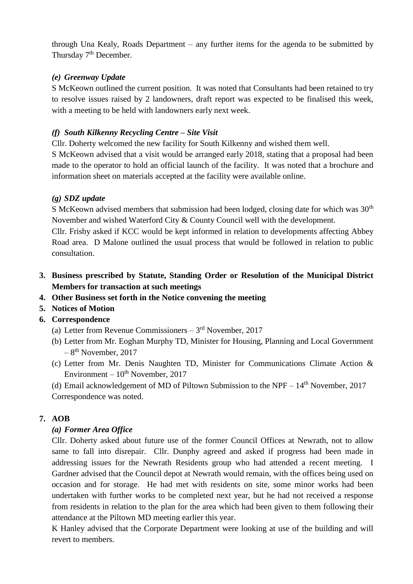through Una Kealy, Roads Department – any further items for the agenda to be submitted by Thursday 7<sup>th</sup> December.

#### *(e) Greenway Update*

S McKeown outlined the current position. It was noted that Consultants had been retained to try to resolve issues raised by 2 landowners, draft report was expected to be finalised this week, with a meeting to be held with landowners early next week.

#### *(f) South Kilkenny Recycling Centre – Site Visit*

Cllr. Doherty welcomed the new facility for South Kilkenny and wished them well.

S McKeown advised that a visit would be arranged early 2018, stating that a proposal had been made to the operator to hold an official launch of the facility. It was noted that a brochure and information sheet on materials accepted at the facility were available online.

### *(g) SDZ update*

S McKeown advised members that submission had been lodged, closing date for which was 30<sup>th</sup> November and wished Waterford City & County Council well with the development.

Cllr. Frisby asked if KCC would be kept informed in relation to developments affecting Abbey Road area. D Malone outlined the usual process that would be followed in relation to public consultation.

**3. Business prescribed by Statute, Standing Order or Resolution of the Municipal District Members for transaction at such meetings**

### **4. Other Business set forth in the Notice convening the meeting**

- **5. Notices of Motion**
- **6. Correspondence**
	- (a) Letter from Revenue Commissioners  $-3<sup>rd</sup>$  November, 2017
	- (b) Letter from Mr. Eoghan Murphy TD, Minister for Housing, Planning and Local Government  $-8$ <sup>th</sup> November, 2017
	- (c) Letter from Mr. Denis Naughten TD, Minister for Communications Climate Action & Environment –  $10^{th}$  November, 2017

(d) Email acknowledgement of MD of Piltown Submission to the NPF –  $14<sup>th</sup>$  November, 2017 Correspondence was noted.

### **7. AOB**

### *(a) Former Area Office*

Cllr. Doherty asked about future use of the former Council Offices at Newrath, not to allow same to fall into disrepair. Cllr. Dunphy agreed and asked if progress had been made in addressing issues for the Newrath Residents group who had attended a recent meeting. I Gardner advised that the Council depot at Newrath would remain, with the offices being used on occasion and for storage. He had met with residents on site, some minor works had been undertaken with further works to be completed next year, but he had not received a response from residents in relation to the plan for the area which had been given to them following their attendance at the Piltown MD meeting earlier this year.

K Hanley advised that the Corporate Department were looking at use of the building and will revert to members.